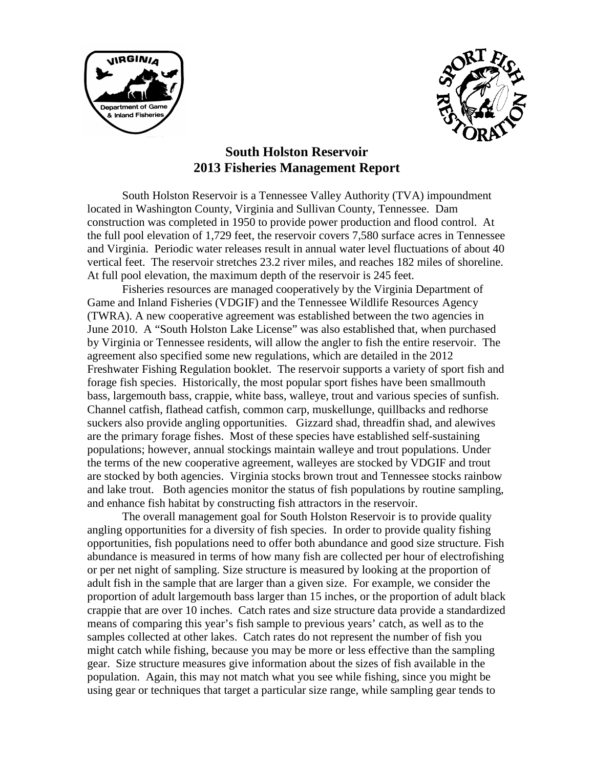



# **South Holston Reservoir 2013 Fisheries Management Report**

South Holston Reservoir is a Tennessee Valley Authority (TVA) impoundment located in Washington County, Virginia and Sullivan County, Tennessee. Dam construction was completed in 1950 to provide power production and flood control. At the full pool elevation of 1,729 feet, the reservoir covers 7,580 surface acres in Tennessee and Virginia. Periodic water releases result in annual water level fluctuations of about 40 vertical feet. The reservoir stretches 23.2 river miles, and reaches 182 miles of shoreline. At full pool elevation, the maximum depth of the reservoir is 245 feet.

Fisheries resources are managed cooperatively by the Virginia Department of Game and Inland Fisheries (VDGIF) and the Tennessee Wildlife Resources Agency (TWRA). A new cooperative agreement was established between the two agencies in June 2010. A "South Holston Lake License" was also established that, when purchased by Virginia or Tennessee residents, will allow the angler to fish the entire reservoir. The agreement also specified some new regulations, which are detailed in the 2012 Freshwater Fishing Regulation booklet. The reservoir supports a variety of sport fish and forage fish species. Historically, the most popular sport fishes have been smallmouth bass, largemouth bass, crappie, white bass, walleye, trout and various species of sunfish. Channel catfish, flathead catfish, common carp, muskellunge, quillbacks and redhorse suckers also provide angling opportunities. Gizzard shad, threadfin shad, and alewives are the primary forage fishes. Most of these species have established self-sustaining populations; however, annual stockings maintain walleye and trout populations. Under the terms of the new cooperative agreement, walleyes are stocked by VDGIF and trout are stocked by both agencies. Virginia stocks brown trout and Tennessee stocks rainbow and lake trout. Both agencies monitor the status of fish populations by routine sampling, and enhance fish habitat by constructing fish attractors in the reservoir.

The overall management goal for South Holston Reservoir is to provide quality angling opportunities for a diversity of fish species. In order to provide quality fishing opportunities, fish populations need to offer both abundance and good size structure. Fish abundance is measured in terms of how many fish are collected per hour of electrofishing or per net night of sampling. Size structure is measured by looking at the proportion of adult fish in the sample that are larger than a given size. For example, we consider the proportion of adult largemouth bass larger than 15 inches, or the proportion of adult black crappie that are over 10 inches. Catch rates and size structure data provide a standardized means of comparing this year's fish sample to previous years' catch, as well as to the samples collected at other lakes. Catch rates do not represent the number of fish you might catch while fishing, because you may be more or less effective than the sampling gear. Size structure measures give information about the sizes of fish available in the population. Again, this may not match what you see while fishing, since you might be using gear or techniques that target a particular size range, while sampling gear tends to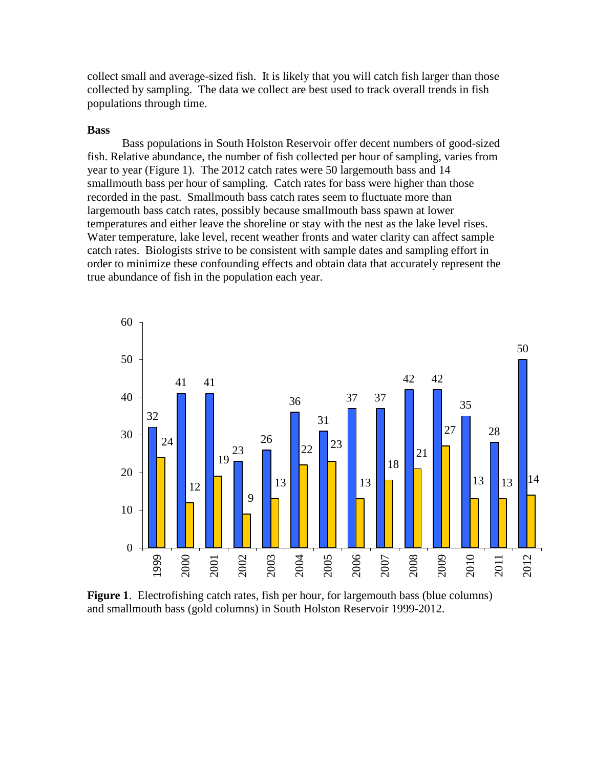collect small and average-sized fish. It is likely that you will catch fish larger than those collected by sampling. The data we collect are best used to track overall trends in fish populations through time.

#### **Bass**

Bass populations in South Holston Reservoir offer decent numbers of good-sized fish. Relative abundance, the number of fish collected per hour of sampling, varies from year to year (Figure 1). The 2012 catch rates were 50 largemouth bass and 14 smallmouth bass per hour of sampling. Catch rates for bass were higher than those recorded in the past. Smallmouth bass catch rates seem to fluctuate more than largemouth bass catch rates, possibly because smallmouth bass spawn at lower temperatures and either leave the shoreline or stay with the nest as the lake level rises. Water temperature, lake level, recent weather fronts and water clarity can affect sample catch rates. Biologists strive to be consistent with sample dates and sampling effort in order to minimize these confounding effects and obtain data that accurately represent the true abundance of fish in the population each year.



**Figure 1**. Electrofishing catch rates, fish per hour, for largemouth bass (blue columns) and smallmouth bass (gold columns) in South Holston Reservoir 1999-2012.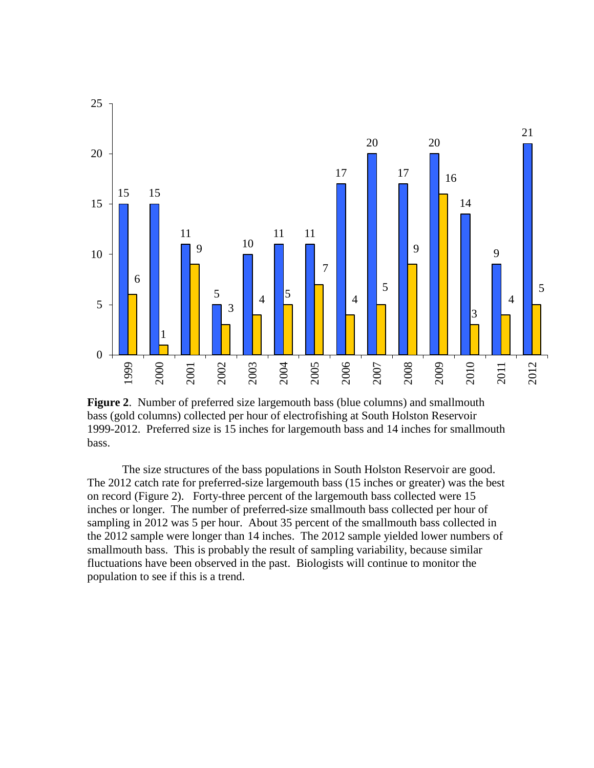

**Figure 2**. Number of preferred size largemouth bass (blue columns) and smallmouth bass (gold columns) collected per hour of electrofishing at South Holston Reservoir 1999-2012. Preferred size is 15 inches for largemouth bass and 14 inches for smallmouth bass.

The size structures of the bass populations in South Holston Reservoir are good. The 2012 catch rate for preferred-size largemouth bass (15 inches or greater) was the best on record (Figure 2). Forty-three percent of the largemouth bass collected were 15 inches or longer. The number of preferred-size smallmouth bass collected per hour of sampling in 2012 was 5 per hour. About 35 percent of the smallmouth bass collected in the 2012 sample were longer than 14 inches. The 2012 sample yielded lower numbers of smallmouth bass. This is probably the result of sampling variability, because similar fluctuations have been observed in the past. Biologists will continue to monitor the population to see if this is a trend.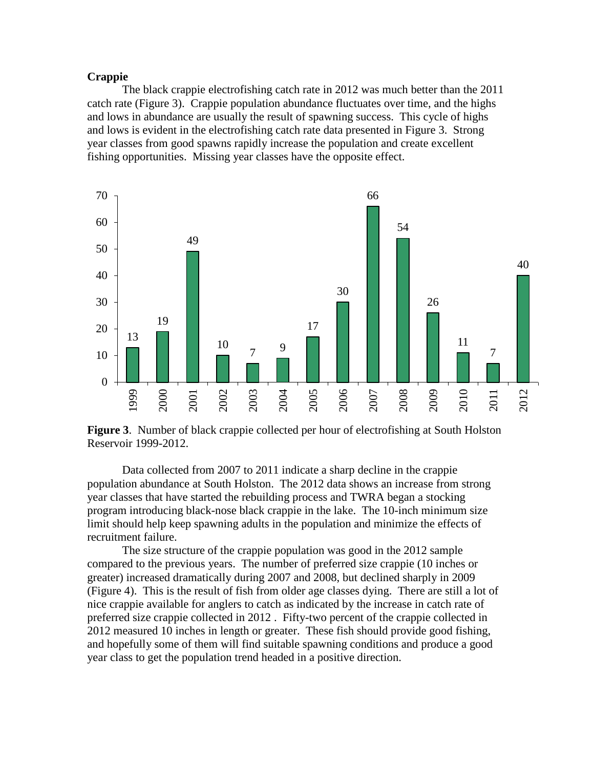## **Crappie**

The black crappie electrofishing catch rate in 2012 was much better than the 2011 catch rate (Figure 3). Crappie population abundance fluctuates over time, and the highs and lows in abundance are usually the result of spawning success. This cycle of highs and lows is evident in the electrofishing catch rate data presented in Figure 3. Strong year classes from good spawns rapidly increase the population and create excellent fishing opportunities. Missing year classes have the opposite effect.



**Figure 3**. Number of black crappie collected per hour of electrofishing at South Holston Reservoir 1999-2012.

Data collected from 2007 to 2011 indicate a sharp decline in the crappie population abundance at South Holston. The 2012 data shows an increase from strong year classes that have started the rebuilding process and TWRA began a stocking program introducing black-nose black crappie in the lake. The 10-inch minimum size limit should help keep spawning adults in the population and minimize the effects of recruitment failure.

The size structure of the crappie population was good in the 2012 sample compared to the previous years. The number of preferred size crappie (10 inches or greater) increased dramatically during 2007 and 2008, but declined sharply in 2009 (Figure 4). This is the result of fish from older age classes dying. There are still a lot of nice crappie available for anglers to catch as indicated by the increase in catch rate of preferred size crappie collected in 2012 . Fifty-two percent of the crappie collected in measured 10 inches in length or greater. These fish should provide good fishing, and hopefully some of them will find suitable spawning conditions and produce a good year class to get the population trend headed in a positive direction.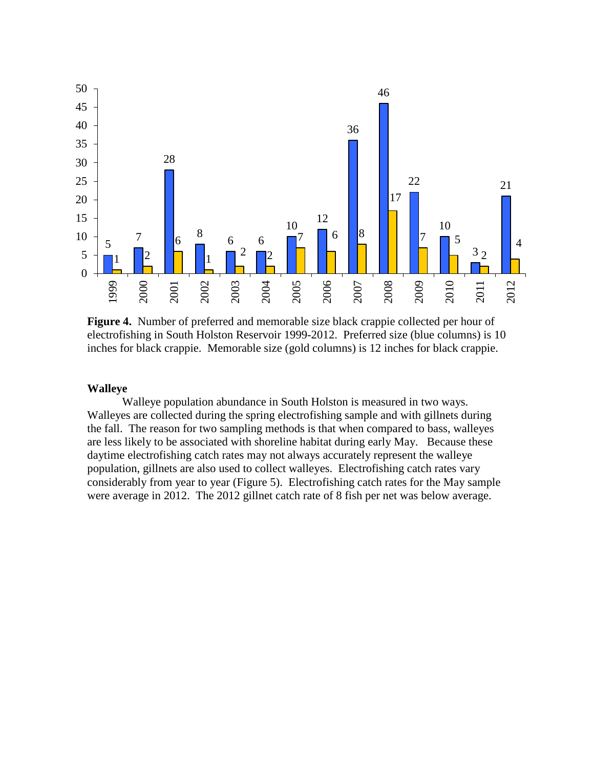

**Figure 4.** Number of preferred and memorable size black crappie collected per hour of electrofishing in South Holston Reservoir 1999-2012. Preferred size (blue columns) is 10 inches for black crappie. Memorable size (gold columns) is 12 inches for black crappie.

#### **Walleye**

Walleye population abundance in South Holston is measured in two ways. Walleyes are collected during the spring electrofishing sample and with gillnets during the fall. The reason for two sampling methods is that when compared to bass, walleyes are less likely to be associated with shoreline habitat during early May. Because these daytime electrofishing catch rates may not always accurately represent the walleye population, gillnets are also used to collect walleyes. Electrofishing catch rates vary considerably from year to year (Figure 5). Electrofishing catch rates for the May sample were average in 2012. The 2012 gillnet catch rate of 8 fish per net was below average.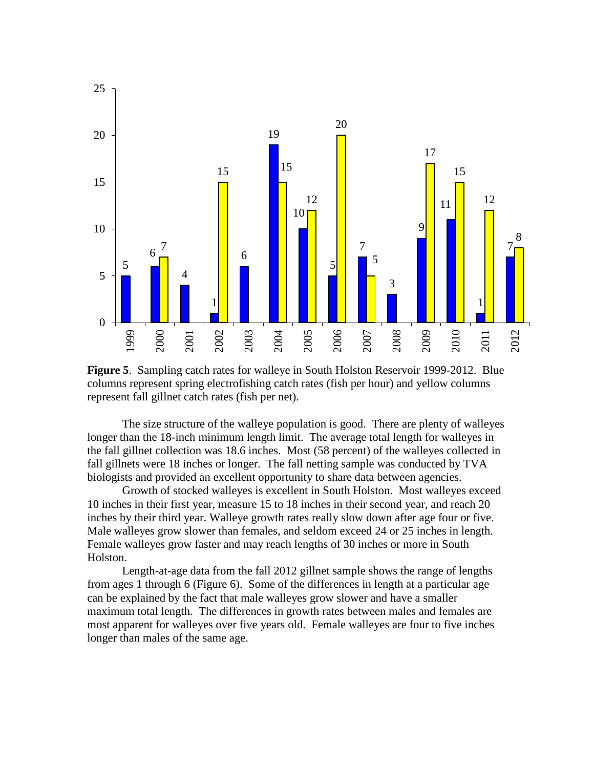

**Figure 5**. Sampling catch rates for walleye in South Holston Reservoir 1999-2012. Blue columns represent spring electrofishing catch rates (fish per hour) and yellow columns represent fall gillnet catch rates (fish per net).

The size structure of the walleye population is good. There are plenty of walleyes longer than the 18-inch minimum length limit. The average total length for walleyes in the fall gillnet collection was 18.6 inches. Most (58 percent) of the walleyes collected in fall gillnets were 18 inches or longer. The fall netting sample was conducted by TVA biologists and provided an excellent opportunity to share data between agencies.

Growth of stocked walleyes is excellent in South Holston. Most walleyes exceed 10 inches in their first year, measure 15 to 18 inches in their second year, and reach 20 inches by their third year. Walleye growth rates really slow down after age four or five. Male walleyes grow slower than females, and seldom exceed 24 or 25 inches in length. Female walleyes grow faster and may reach lengths of 30 inches or more in South Holston.

Length-at-age data from the fall 2012 gillnet sample shows the range of lengths from ages 1 through 6 (Figure 6). Some of the differences in length at a particular age can be explained by the fact that male walleyes grow slower and have a smaller maximum total length. The differences in growth rates between males and females are most apparent for walleyes over five years old. Female walleyes are four to five inches longer than males of the same age.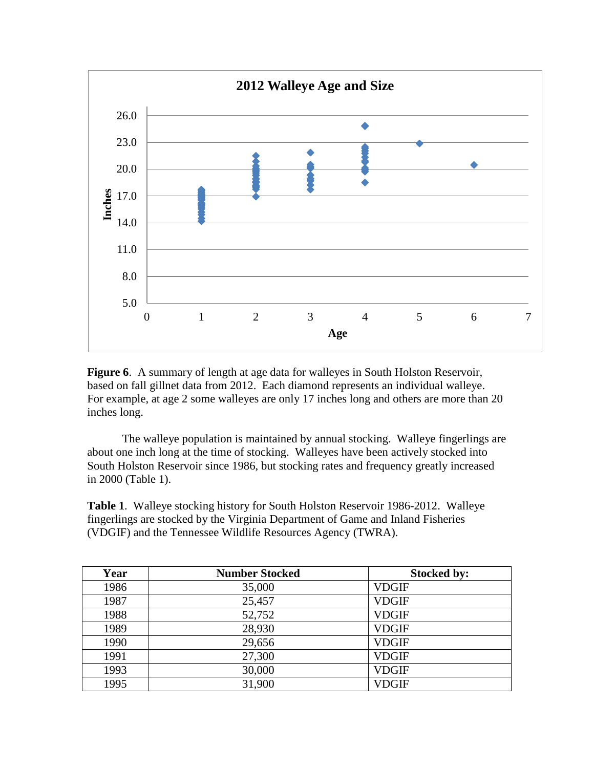

**Figure 6.** A summary of length at age data for walleyes in South Holston Reservoir, based on fall gillnet data from 2012. Each diamond represents an individual walleye. For example, at age 2 some walleyes are only 17 inches long and others are more than 20 inches long.

The walleye population is maintained by annual stocking. Walleye fingerlings are about one inch long at the time of stocking. Walleyes have been actively stocked into South Holston Reservoir since 1986, but stocking rates and frequency greatly increased in 2000 (Table 1).

**Table 1**. Walleye stocking history for South Holston Reservoir 1986-2012. Walleye fingerlings are stocked by the Virginia Department of Game and Inland Fisheries (VDGIF) and the Tennessee Wildlife Resources Agency (TWRA).

| Year | <b>Number Stocked</b> | <b>Stocked by:</b> |
|------|-----------------------|--------------------|
| 1986 | 35,000                | <b>VDGIF</b>       |
| 1987 | 25,457                | <b>VDGIF</b>       |
| 1988 | 52,752                | <b>VDGIF</b>       |
| 1989 | 28,930                | <b>VDGIF</b>       |
| 1990 | 29,656                | <b>VDGIF</b>       |
| 1991 | 27,300                | <b>VDGIF</b>       |
| 1993 | 30,000                | <b>VDGIF</b>       |
| 1995 | 31,900                | <b>VDGIF</b>       |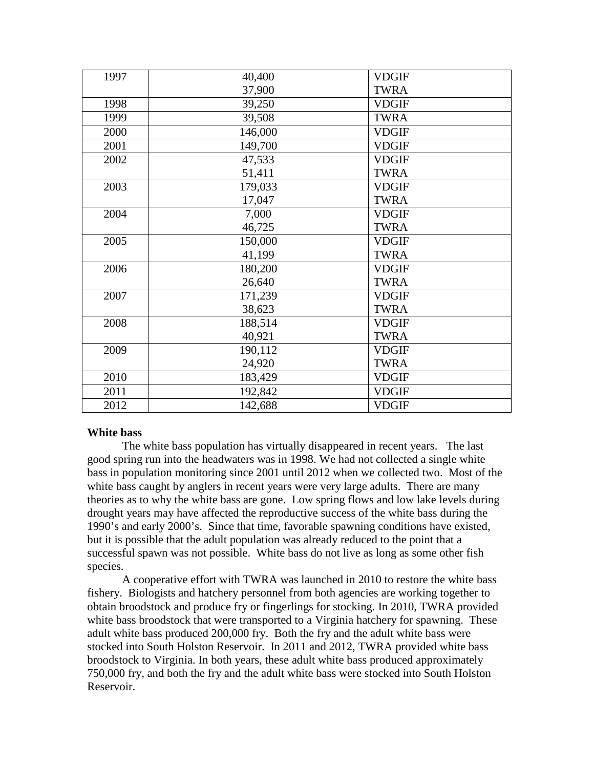| 1997 | 40,400  | <b>VDGIF</b> |
|------|---------|--------------|
|      | 37,900  | <b>TWRA</b>  |
| 1998 | 39,250  | <b>VDGIF</b> |
| 1999 | 39,508  | <b>TWRA</b>  |
| 2000 | 146,000 | <b>VDGIF</b> |
| 2001 | 149,700 | <b>VDGIF</b> |
| 2002 | 47,533  | <b>VDGIF</b> |
|      | 51,411  | <b>TWRA</b>  |
| 2003 | 179,033 | <b>VDGIF</b> |
|      | 17,047  | <b>TWRA</b>  |
| 2004 | 7,000   | <b>VDGIF</b> |
|      | 46,725  | <b>TWRA</b>  |
| 2005 | 150,000 | <b>VDGIF</b> |
|      | 41,199  | <b>TWRA</b>  |
| 2006 | 180,200 | <b>VDGIF</b> |
|      | 26,640  | <b>TWRA</b>  |
| 2007 | 171,239 | <b>VDGIF</b> |
|      | 38,623  | <b>TWRA</b>  |
| 2008 | 188,514 | <b>VDGIF</b> |
|      | 40,921  | <b>TWRA</b>  |
| 2009 | 190,112 | <b>VDGIF</b> |
|      | 24,920  | <b>TWRA</b>  |
| 2010 | 183,429 | <b>VDGIF</b> |
| 2011 | 192,842 | <b>VDGIF</b> |
| 2012 | 142,688 | <b>VDGIF</b> |

# **White bass**

The white bass population has virtually disappeared in recent years. The last good spring run into the headwaters was in 1998. We had not collected a single white bass in population monitoring since 2001 until 2012 when we collected two. Most of the white bass caught by anglers in recent years were very large adults. There are many theories as to why the white bass are gone. Low spring flows and low lake levels during drought years may have affected the reproductive success of the white bass during the 1990's and early 2000's. Since that time, favorable spawning conditions have existed, but it is possible that the adult population was already reduced to the point that a successful spawn was not possible. White bass do not live as long as some other fish species.

A cooperative effort with TWRA was launched in 2010 to restore the white bass fishery. Biologists and hatchery personnel from both agencies are working together to obtain broodstock and produce fry or fingerlings for stocking. In 2010, TWRA provided white bass broodstock that were transported to a Virginia hatchery for spawning. These adult white bass produced 200,000 fry. Both the fry and the adult white bass were stocked into South Holston Reservoir. In 2011 and 2012, TWRA provided white bass broodstock to Virginia. In both years, these adult white bass produced approximately 750,000 fry, and both the fry and the adult white bass were stocked into South Holston Reservoir.